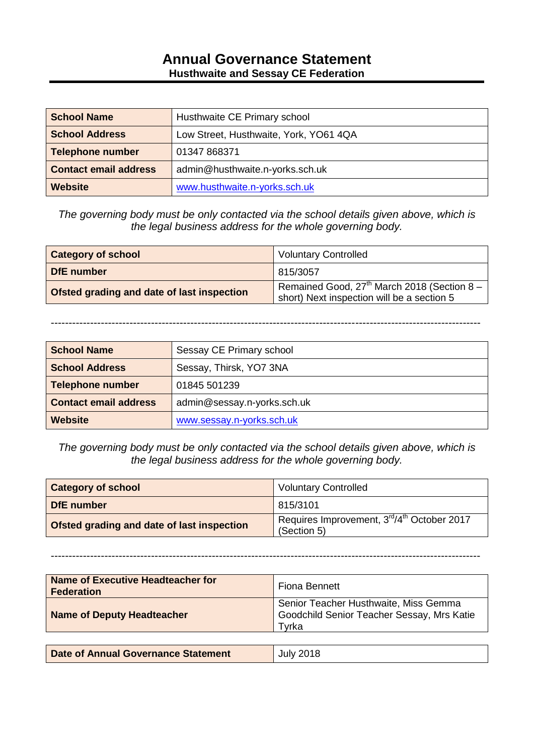#### **Annual Governance Statement Husthwaite and Sessay CE Federation**

| <b>School Name</b>           | Husthwaite CE Primary school           |
|------------------------------|----------------------------------------|
| <b>School Address</b>        | Low Street, Husthwaite, York, YO61 4QA |
| <b>Telephone number</b>      | 01347 868371                           |
| <b>Contact email address</b> | admin@husthwaite.n-yorks.sch.uk        |
| <b>Website</b>               | www.husthwaite.n-yorks.sch.uk          |

*The governing body must be only contacted via the school details given above, which is the legal business address for the whole governing body.*

| <b>Category of school</b>                  | <b>Voluntary Controlled</b>                                                                 |
|--------------------------------------------|---------------------------------------------------------------------------------------------|
| DfE number                                 | 815/3057                                                                                    |
| Ofsted grading and date of last inspection | Remained Good, $27th$ March 2018 (Section 8 –<br>short) Next inspection will be a section 5 |

------------------------------------------------------------------------------------------------------------------------

| <b>School Name</b>           | Sessay CE Primary school    |
|------------------------------|-----------------------------|
| <b>School Address</b>        | Sessay, Thirsk, YO7 3NA     |
| <b>Telephone number</b>      | 01845 501239                |
| <b>Contact email address</b> | admin@sessay.n-yorks.sch.uk |
| Website                      | www.sessay.n-yorks.sch.uk   |

*The governing body must be only contacted via the school details given above, which is the legal business address for the whole governing body.*

| <b>Category of school</b>                  | <b>Voluntary Controlled</b>                               |
|--------------------------------------------|-----------------------------------------------------------|
| DfE number                                 | 815/3101                                                  |
| Ofsted grading and date of last inspection | Requires Improvement, 3rd/4th October 2017<br>(Section 5) |

------------------------------------------------------------------------------------------------------------------------

| <b>Name of Executive Headteacher for</b><br><b>Federation</b> | Fiona Bennett                                                                                |
|---------------------------------------------------------------|----------------------------------------------------------------------------------------------|
| <b>Name of Deputy Headteacher</b>                             | Senior Teacher Husthwaite, Miss Gemma<br>Goodchild Senior Teacher Sessay, Mrs Katie<br>Tvrka |
|                                                               |                                                                                              |
| <b>Date of Annual Governance Statement</b>                    | <b>July 2018</b>                                                                             |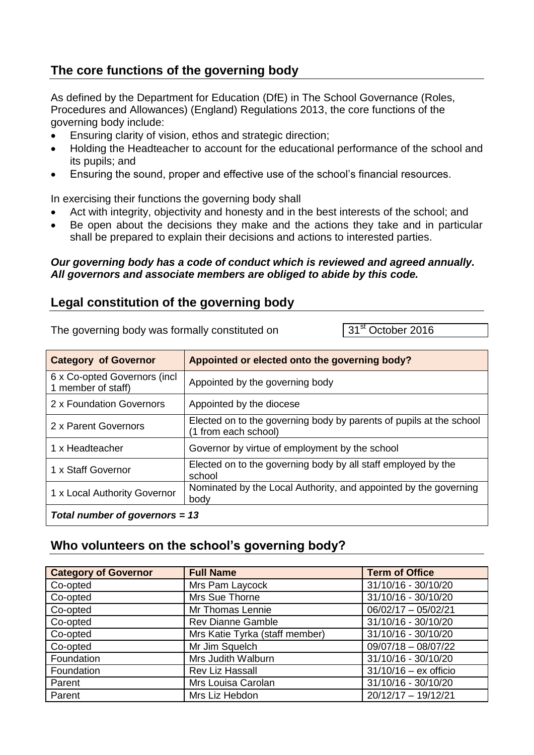# **The core functions of the governing body**

As defined by the Department for Education (DfE) in The School Governance (Roles, Procedures and Allowances) (England) Regulations 2013, the core functions of the governing body include:

- Ensuring clarity of vision, ethos and strategic direction;
- Holding the Headteacher to account for the educational performance of the school and its pupils; and
- Ensuring the sound, proper and effective use of the school's financial resources.

In exercising their functions the governing body shall

- Act with integrity, objectivity and honesty and in the best interests of the school; and
- Be open about the decisions they make and the actions they take and in particular shall be prepared to explain their decisions and actions to interested parties.

#### *Our governing body has a code of conduct which is reviewed and agreed annually. All governors and associate members are obliged to abide by this code.*

#### **Legal constitution of the governing body**

The governing body was formally constituted on  $31<sup>st</sup>$  October 2016

| <b>Category of Governor</b>                         | Appointed or elected onto the governing body?                                               |
|-----------------------------------------------------|---------------------------------------------------------------------------------------------|
| 6 x Co-opted Governors (incl.<br>1 member of staff) | Appointed by the governing body                                                             |
| 2 x Foundation Governors                            | Appointed by the diocese                                                                    |
| 2 x Parent Governors                                | Elected on to the governing body by parents of pupils at the school<br>(1 from each school) |
| 1 x Headteacher                                     | Governor by virtue of employment by the school                                              |
| 1 x Staff Governor                                  | Elected on to the governing body by all staff employed by the<br>school                     |
| 1 x Local Authority Governor                        | Nominated by the Local Authority, and appointed by the governing<br>body                    |
| Total number of governors = $13$                    |                                                                                             |

#### **Who volunteers on the school's governing body?**

| <b>Category of Governor</b> | <b>Full Name</b>               | <b>Term of Office</b>   |
|-----------------------------|--------------------------------|-------------------------|
| Co-opted                    | Mrs Pam Laycock                | 31/10/16 - 30/10/20     |
| Co-opted                    | Mrs Sue Thorne                 | $31/10/16 - 30/10/20$   |
| Co-opted                    | Mr Thomas Lennie               | $06/02/17 - 05/02/21$   |
| Co-opted                    | <b>Rev Dianne Gamble</b>       | 31/10/16 - 30/10/20     |
| Co-opted                    | Mrs Katie Tyrka (staff member) | 31/10/16 - 30/10/20     |
| Co-opted                    | Mr Jim Squelch                 | $09/07/18 - 08/07/22$   |
| Foundation                  | Mrs Judith Walburn             | 31/10/16 - 30/10/20     |
| Foundation                  | <b>Rev Liz Hassall</b>         | $31/10/16 - ex$ officio |
| Parent                      | Mrs Louisa Carolan             | 31/10/16 - 30/10/20     |
| Parent                      | Mrs Liz Hebdon                 | $20/12/17 - 19/12/21$   |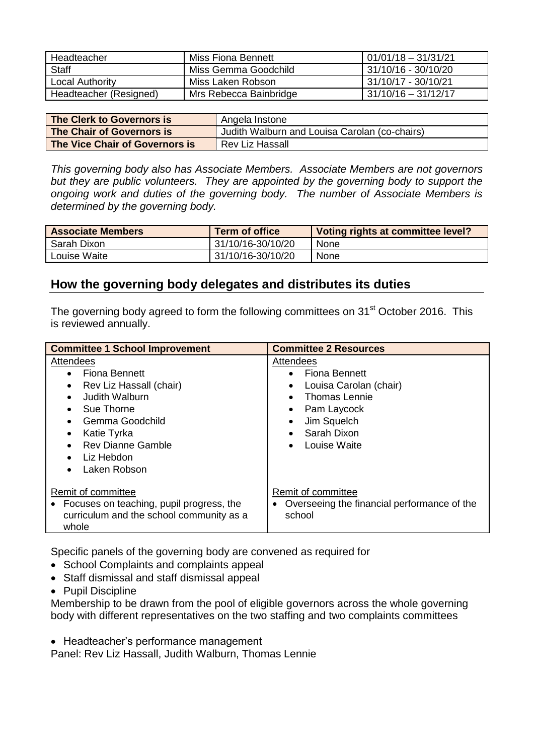| Headteacher            | Miss Fiona Bennett     | $01/01/18 - 31/31/21$  |
|------------------------|------------------------|------------------------|
| <b>Staff</b>           | Miss Gemma Goodchild   | 31/10/16 - 30/10/20    |
| Local Authority        | Miss Laken Robson      | 1 31/10/17 - 30/10/21  |
| Headteacher (Resigned) | Mrs Rebecca Bainbridge | $131/10/16 - 31/12/17$ |

| The Clerk to Governors is      | Angela Instone                                |
|--------------------------------|-----------------------------------------------|
| The Chair of Governors is      | Judith Walburn and Louisa Carolan (co-chairs) |
| The Vice Chair of Governors is | Rev Liz Hassall                               |

*This governing body also has Associate Members. Associate Members are not governors but they are public volunteers. They are appointed by the governing body to support the ongoing work and duties of the governing body. The number of Associate Members is determined by the governing body.*

| <b>Associate Members</b> | Term of office    | Voting rights at committee level? |
|--------------------------|-------------------|-----------------------------------|
| Sarah Dixon              | 31/10/16-30/10/20 | None                              |
| Louise Waite             | 31/10/16-30/10/20 | None                              |

#### **How the governing body delegates and distributes its duties**

The governing body agreed to form the following committees on 31<sup>st</sup> October 2016. This is reviewed annually.

| <b>Committee 1 School Improvement</b>                                                                                                                                                                                    | <b>Committee 2 Resources</b>                                                                                                                                                |
|--------------------------------------------------------------------------------------------------------------------------------------------------------------------------------------------------------------------------|-----------------------------------------------------------------------------------------------------------------------------------------------------------------------------|
| Attendees<br>Fiona Bennett<br>$\bullet$<br>Rev Liz Hassall (chair)<br>Judith Walburn<br>Sue Thorne<br>$\bullet$<br>Gemma Goodchild<br>Katie Tyrka<br><b>Rev Dianne Gamble</b><br>Liz Hebdon<br>Laken Robson<br>$\bullet$ | Attendees<br>• Fiona Bennett<br>Louisa Carolan (chair)<br>$\bullet$<br>Thomas Lennie<br>Pam Laycock<br>$\bullet$<br>Jim Squelch<br>Sarah Dixon<br>Louise Waite<br>$\bullet$ |
| Remit of committee<br>Focuses on teaching, pupil progress, the<br>curriculum and the school community as a<br>whole                                                                                                      | Remit of committee<br>Overseeing the financial performance of the<br>school                                                                                                 |

Specific panels of the governing body are convened as required for

- School Complaints and complaints appeal
- Staff dismissal and staff dismissal appeal
- Pupil Discipline

Membership to be drawn from the pool of eligible governors across the whole governing body with different representatives on the two staffing and two complaints committees

• Headteacher's performance management

Panel: Rev Liz Hassall, Judith Walburn, Thomas Lennie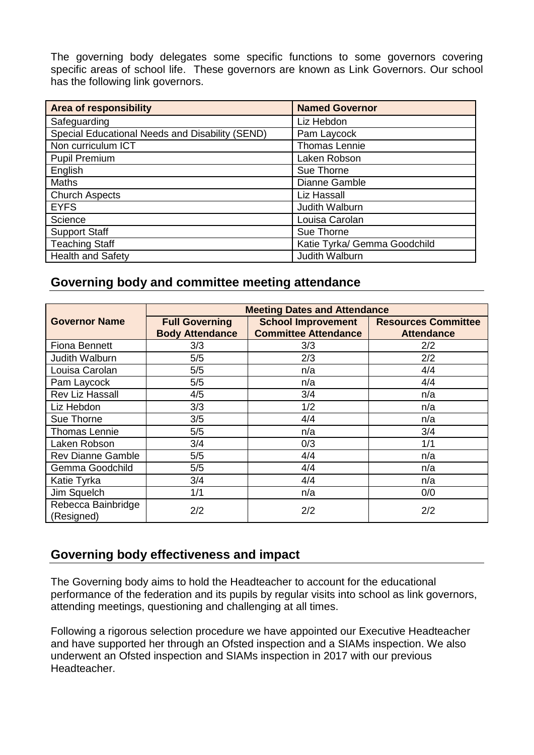The governing body delegates some specific functions to some governors covering specific areas of school life. These governors are known as Link Governors. Our school has the following link governors.

| <b>Area of responsibility</b>                   | <b>Named Governor</b>        |
|-------------------------------------------------|------------------------------|
| Safeguarding                                    | Liz Hebdon                   |
| Special Educational Needs and Disability (SEND) | Pam Laycock                  |
| Non curriculum ICT                              | Thomas Lennie                |
| <b>Pupil Premium</b>                            | Laken Robson                 |
| English                                         | Sue Thorne                   |
| <b>Maths</b>                                    | Dianne Gamble                |
| <b>Church Aspects</b>                           | Liz Hassall                  |
| <b>EYFS</b>                                     | Judith Walburn               |
| Science                                         | Louisa Carolan               |
| <b>Support Staff</b>                            | Sue Thorne                   |
| <b>Teaching Staff</b>                           | Katie Tyrka/ Gemma Goodchild |
| <b>Health and Safety</b>                        | Judith Walburn               |

## **Governing body and committee meeting attendance**

|                                  | <b>Meeting Dates and Attendance</b> |                             |                            |  |
|----------------------------------|-------------------------------------|-----------------------------|----------------------------|--|
| <b>Governor Name</b>             | <b>Full Governing</b>               | <b>School Improvement</b>   | <b>Resources Committee</b> |  |
|                                  | <b>Body Attendance</b>              | <b>Committee Attendance</b> | <b>Attendance</b>          |  |
| <b>Fiona Bennett</b>             | 3/3                                 | 3/3                         | 2/2                        |  |
| Judith Walburn                   | 5/5                                 | 2/3                         | 2/2                        |  |
| Louisa Carolan                   | 5/5                                 | n/a                         | 4/4                        |  |
| Pam Laycock                      | 5/5                                 | n/a                         | 4/4                        |  |
| <b>Rev Liz Hassall</b>           | 4/5                                 | 3/4                         | n/a                        |  |
| Liz Hebdon                       | 3/3                                 | 1/2                         | n/a                        |  |
| Sue Thorne                       | 3/5                                 | 4/4                         | n/a                        |  |
| <b>Thomas Lennie</b>             | 5/5                                 | n/a                         | 3/4                        |  |
| Laken Robson                     | 3/4                                 | 0/3                         | 1/1                        |  |
| <b>Rev Dianne Gamble</b>         | 5/5                                 | 4/4                         | n/a                        |  |
| Gemma Goodchild                  | 5/5                                 | 4/4                         | n/a                        |  |
| Katie Tyrka                      | 3/4                                 | 4/4                         | n/a                        |  |
| Jim Squelch                      | 1/1                                 | n/a                         | 0/0                        |  |
| Rebecca Bainbridge<br>(Resigned) | 2/2                                 | 2/2                         | 2/2                        |  |

## **Governing body effectiveness and impact**

The Governing body aims to hold the Headteacher to account for the educational performance of the federation and its pupils by regular visits into school as link governors, attending meetings, questioning and challenging at all times.

Following a rigorous selection procedure we have appointed our Executive Headteacher and have supported her through an Ofsted inspection and a SIAMs inspection. We also underwent an Ofsted inspection and SIAMs inspection in 2017 with our previous Headteacher.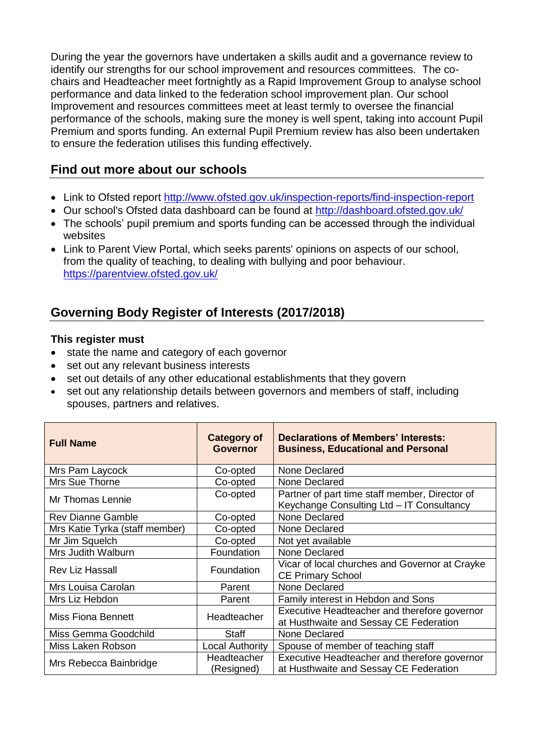During the year the governors have undertaken a skills audit and a governance review to identify our strengths for our school improvement and resources committees. The cochairs and Headteacher meet fortnightly as a Rapid Improvement Group to analyse school performance and data linked to the federation school improvement plan. Our school Improvement and resources committees meet at least termly to oversee the financial performance of the schools, making sure the money is well spent, taking into account Pupil Premium and sports funding. An external Pupil Premium review has also been undertaken to ensure the federation utilises this funding effectively.

## **Find out more about our schools**

- Link to Ofsted report <http://www.ofsted.gov.uk/inspection-reports/find-inspection-report>
- Our school's Ofsted data dashboard can be found at<http://dashboard.ofsted.gov.uk/>
- The schools' pupil premium and sports funding can be accessed through the individual websites
- Link to Parent View Portal, which seeks parents' opinions on aspects of our school, from the quality of teaching, to dealing with bullying and poor behaviour. <https://parentview.ofsted.gov.uk/>

## **Governing Body Register of Interests (2017/2018)**

#### **This register must**

- state the name and category of each governor
- set out any relevant business interests
- set out details of any other educational establishments that they govern
- set out any relationship details between governors and members of staff, including spouses, partners and relatives.

| <b>Full Name</b>               | <b>Category of</b><br><b>Governor</b> | Declarations of Members' Interests:<br><b>Business, Educational and Personal</b>            |  |
|--------------------------------|---------------------------------------|---------------------------------------------------------------------------------------------|--|
| Mrs Pam Laycock                | Co-opted                              | None Declared                                                                               |  |
| Mrs Sue Thorne                 | Co-opted                              | None Declared                                                                               |  |
| Mr Thomas Lennie               | Co-opted                              | Partner of part time staff member, Director of<br>Keychange Consulting Ltd - IT Consultancy |  |
| <b>Rev Dianne Gamble</b>       | Co-opted                              | None Declared                                                                               |  |
| Mrs Katie Tyrka (staff member) | Co-opted                              | None Declared                                                                               |  |
| Mr Jim Squelch                 | Co-opted                              | Not yet available                                                                           |  |
| Mrs Judith Walburn             | Foundation                            | None Declared                                                                               |  |
| <b>Rev Liz Hassall</b>         | Foundation                            | Vicar of local churches and Governor at Crayke<br><b>CE Primary School</b>                  |  |
| Mrs Louisa Carolan             | Parent                                | None Declared                                                                               |  |
| Mrs Liz Hebdon                 | Parent                                | Family interest in Hebdon and Sons                                                          |  |
| Miss Fiona Bennett             | Headteacher                           | Executive Headteacher and therefore governor<br>at Husthwaite and Sessay CE Federation      |  |
| Miss Gemma Goodchild           | <b>Staff</b>                          | None Declared                                                                               |  |
| Miss Laken Robson              | <b>Local Authority</b>                | Spouse of member of teaching staff                                                          |  |
| Mrs Rebecca Bainbridge         | Headteacher<br>(Resigned)             | Executive Headteacher and therefore governor<br>at Husthwaite and Sessay CE Federation      |  |